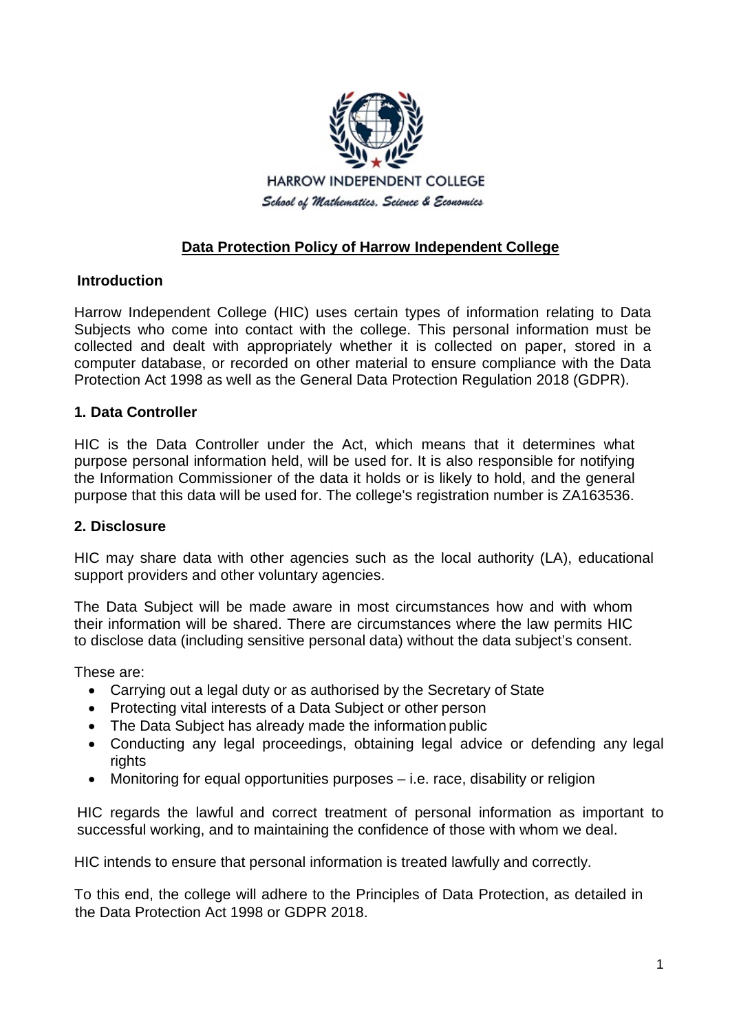

# **Data Protection Policy of Harrow Independent College**

# **Introduction**

Harrow Independent College (HIC) uses certain types of information relating to Data Subjects who come into contact with the college. This personal information must be collected and dealt with appropriately whether it is collected on paper, stored in a computer database, or recorded on other material to ensure compliance with the Data Protection Act 1998 as well as the General Data Protection Regulation 2018 (GDPR).

#### **1. Data Controller**

HIC is the Data Controller under the Act, which means that it determines what purpose personal information held, will be used for. It is also responsible for notifying the Information Commissioner of the data it holds or is likely to hold, and the general purpose that this data will be used for. The college's registration number is ZA163536.

#### **2. Disclosure**

HIC may share data with other agencies such as the local authority (LA), educational support providers and other voluntary agencies.

The Data Subject will be made aware in most circumstances how and with whom their information will be shared. There are circumstances where the law permits HIC to disclose data (including sensitive personal data) without the data subject's consent.

These are:

- Carrying out a legal duty or as authorised by the Secretary of State
- Protecting vital interests of a Data Subject or other person
- The Data Subject has already made the information public
- Conducting any legal proceedings, obtaining legal advice or defending any legal rights
- Monitoring for equal opportunities purposes i.e. race, disability or religion

HIC regards the lawful and correct treatment of personal information as important to successful working, and to maintaining the confidence of those with whom we deal.

HIC intends to ensure that personal information is treated lawfully and correctly.

To this end, the college will adhere to the Principles of Data Protection, as detailed in the Data Protection Act 1998 or GDPR 2018.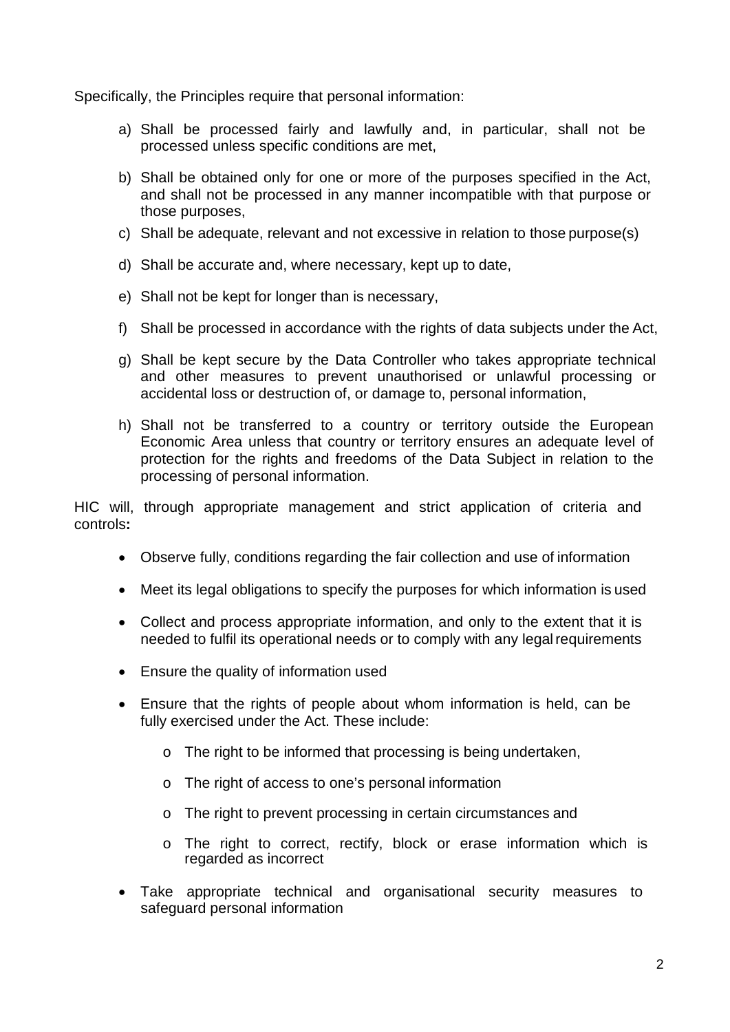Specifically, the Principles require that personal information:

- a) Shall be processed fairly and lawfully and, in particular, shall not be processed unless specific conditions are met,
- b) Shall be obtained only for one or more of the purposes specified in the Act, and shall not be processed in any manner incompatible with that purpose or those purposes,
- c) Shall be adequate, relevant and not excessive in relation to those purpose(s)
- d) Shall be accurate and, where necessary, kept up to date,
- e) Shall not be kept for longer than is necessary,
- f) Shall be processed in accordance with the rights of data subjects under the Act,
- g) Shall be kept secure by the Data Controller who takes appropriate technical and other measures to prevent unauthorised or unlawful processing or accidental loss or destruction of, or damage to, personal information,
- h) Shall not be transferred to a country or territory outside the European Economic Area unless that country or territory ensures an adequate level of protection for the rights and freedoms of the Data Subject in relation to the processing of personal information.

HIC will, through appropriate management and strict application of criteria and controls**:** 

- Observe fully, conditions regarding the fair collection and use of information
- Meet its legal obligations to specify the purposes for which information is used
- Collect and process appropriate information, and only to the extent that it is needed to fulfil its operational needs or to comply with any legalrequirements
- Ensure the quality of information used
- Ensure that the rights of people about whom information is held, can be fully exercised under the Act. These include:
	- o The right to be informed that processing is being undertaken,
	- o The right of access to one's personal information
	- o The right to prevent processing in certain circumstances and
	- o The right to correct, rectify, block or erase information which is regarded as incorrect
- Take appropriate technical and organisational security measures to safeguard personal information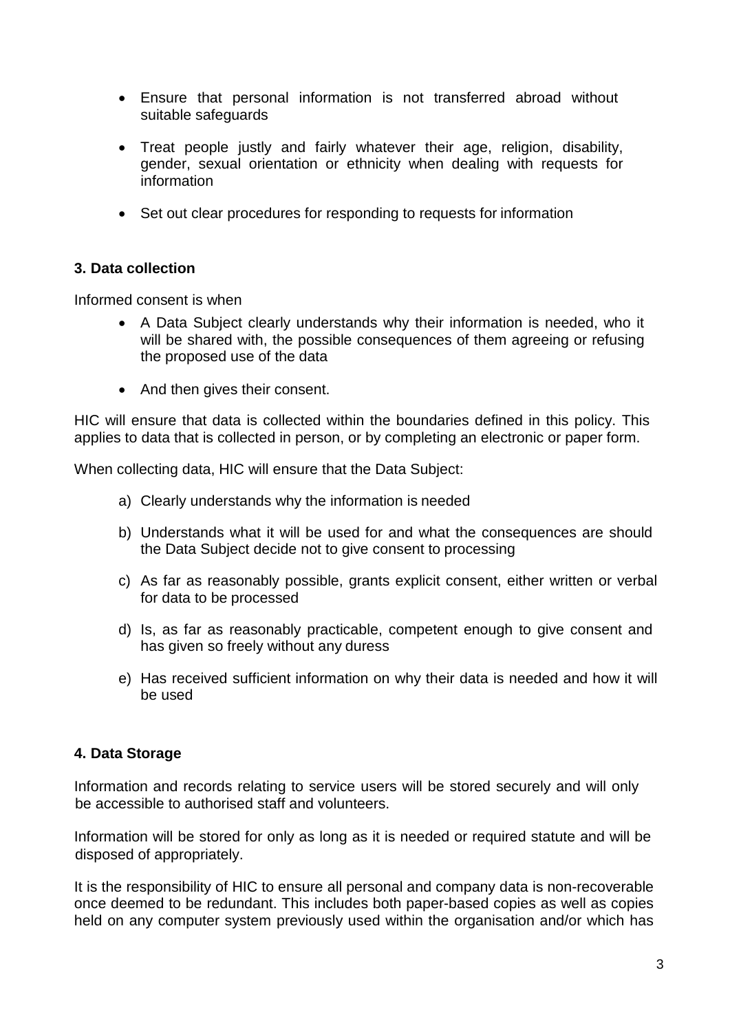- Ensure that personal information is not transferred abroad without suitable safeguards
- Treat people justly and fairly whatever their age, religion, disability, gender, sexual orientation or ethnicity when dealing with requests for information
- Set out clear procedures for responding to requests for information

# **3. Data collection**

Informed consent is when

- A Data Subject clearly understands why their information is needed, who it will be shared with, the possible consequences of them agreeing or refusing the proposed use of the data
- And then gives their consent.

HIC will ensure that data is collected within the boundaries defined in this policy. This applies to data that is collected in person, or by completing an electronic or paper form.

When collecting data, HIC will ensure that the Data Subject:

- a) Clearly understands why the information is needed
- b) Understands what it will be used for and what the consequences are should the Data Subject decide not to give consent to processing
- c) As far as reasonably possible, grants explicit consent, either written or verbal for data to be processed
- d) Is, as far as reasonably practicable, competent enough to give consent and has given so freely without any duress
- e) Has received sufficient information on why their data is needed and how it will be used

#### **4. Data Storage**

Information and records relating to service users will be stored securely and will only be accessible to authorised staff and volunteers.

Information will be stored for only as long as it is needed or required statute and will be disposed of appropriately.

It is the responsibility of HIC to ensure all personal and company data is non-recoverable once deemed to be redundant. This includes both paper-based copies as well as copies held on any computer system previously used within the organisation and/or which has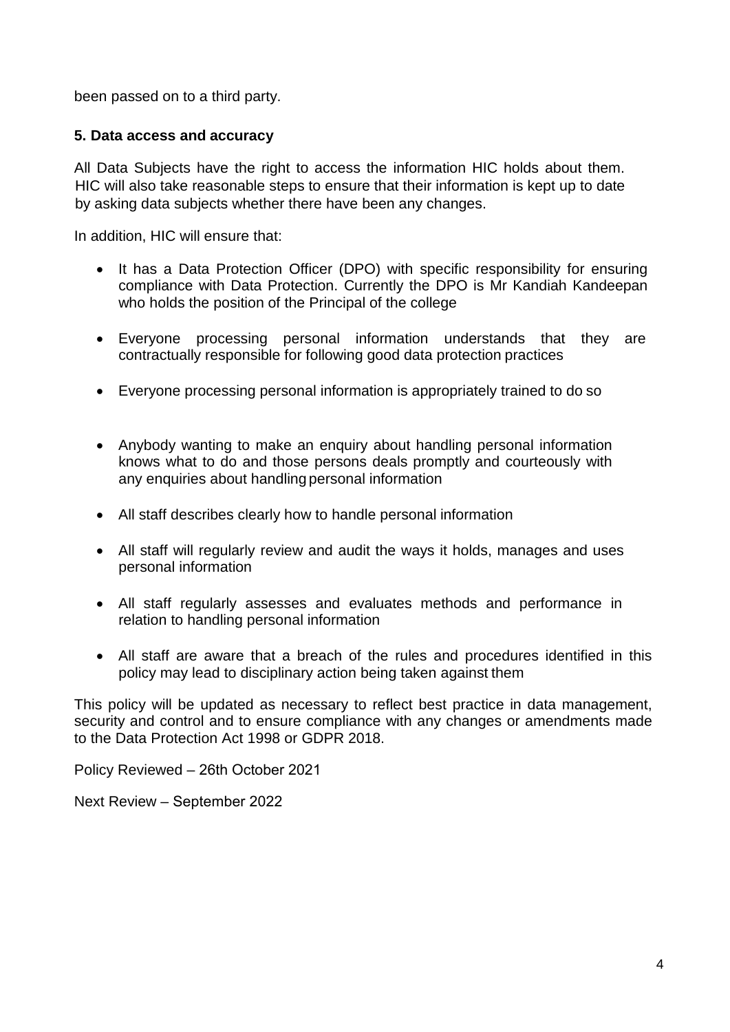been passed on to a third party.

# **5. Data access and accuracy**

All Data Subjects have the right to access the information HIC holds about them. HIC will also take reasonable steps to ensure that their information is kept up to date by asking data subjects whether there have been any changes.

In addition, HIC will ensure that:

- It has a Data Protection Officer (DPO) with specific responsibility for ensuring compliance with Data Protection. Currently the DPO is Mr Kandiah Kandeepan who holds the position of the Principal of the college
- Everyone processing personal information understands that they are contractually responsible for following good data protection practices
- Everyone processing personal information is appropriately trained to do so
- Anybody wanting to make an enquiry about handling personal information knows what to do and those persons deals promptly and courteously with any enquiries about handling personal information
- All staff describes clearly how to handle personal information
- All staff will regularly review and audit the ways it holds, manages and uses personal information
- All staff regularly assesses and evaluates methods and performance in relation to handling personal information
- All staff are aware that a breach of the rules and procedures identified in this policy may lead to disciplinary action being taken against them

This policy will be updated as necessary to reflect best practice in data management, security and control and to ensure compliance with any changes or amendments made to the Data Protection Act 1998 or GDPR 2018.

Policy Reviewed – 26th October 2021

Next Review – September 2022